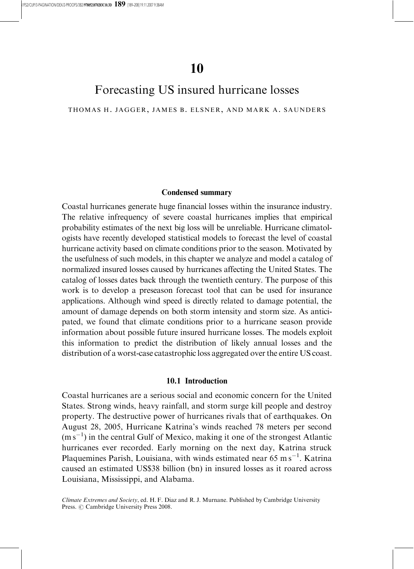# 10

# Forecasting US insured hurricane losses

THOMAS H. JAGGER, JAMES B. ELSNER, AND MARK A. SAUNDERS

# Condensed summary

Coastal hurricanes generate huge financial losses within the insurance industry. The relative infrequency of severe coastal hurricanes implies that empirical probability estimates of the next big loss will be unreliable. Hurricane climatologists have recently developed statistical models to forecast the level of coastal hurricane activity based on climate conditions prior to the season. Motivated by the usefulness of such models, in this chapter we analyze and model a catalog of normalized insured losses caused by hurricanes affecting the United States. The catalog of losses dates back through the twentieth century. The purpose of this work is to develop a preseason forecast tool that can be used for insurance applications. Although wind speed is directly related to damage potential, the amount of damage depends on both storm intensity and storm size. As anticipated, we found that climate conditions prior to a hurricane season provide information about possible future insured hurricane losses. The models exploit this information to predict the distribution of likely annual losses and the distribution of a worst-case catastrophic loss aggregated over the entire US coast.

# 10.1 Introduction

Coastal hurricanes are a serious social and economic concern for the United States. Strong winds, heavy rainfall, and storm surge kill people and destroy property. The destructive power of hurricanes rivals that of earthquakes. On August 28, 2005, Hurricane Katrina's winds reached 78 meters per second  $(m s<sup>-1</sup>)$  in the central Gulf of Mexico, making it one of the strongest Atlantic hurricanes ever recorded. Early morning on the next day, Katrina struck Plaquemines Parish, Louisiana, with winds estimated near 65 m s<sup>-1</sup>. Katrina caused an estimated US\$38 billion (bn) in insured losses as it roared across Louisiana, Mississippi, and Alabama.

Climate Extremes and Society, ed. H. F. Diaz and R. J. Murnane. Published by Cambridge University Press. © Cambridge University Press 2008.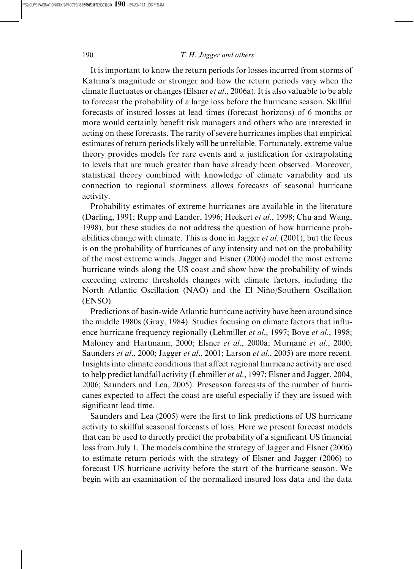It is important to know the return periods for losses incurred from storms of Katrina's magnitude or stronger and how the return periods vary when the climate fluctuates or changes (Elsner et al., 2006a). It is also valuable to be able to forecast the probability of a large loss before the hurricane season. Skillful forecasts of insured losses at lead times (forecast horizons) of 6 months or more would certainly benefit risk managers and others who are interested in acting on these forecasts. The rarity of severe hurricanes implies that empirical estimates of return periods likely will be unreliable. Fortunately, extreme value theory provides models for rare events and a justification for extrapolating to levels that are much greater than have already been observed. Moreover, statistical theory combined with knowledge of climate variability and its connection to regional storminess allows forecasts of seasonal hurricane activity.

Probability estimates of extreme hurricanes are available in the literature (Darling, 1991; Rupp and Lander, 1996; Heckert et al., 1998; Chu and Wang, 1998), but these studies do not address the question of how hurricane probabilities change with climate. This is done in Jagger et al. (2001), but the focus is on the probability of hurricanes of any intensity and not on the probability of the most extreme winds. Jagger and Elsner (2006) model the most extreme hurricane winds along the US coast and show how the probability of winds exceeding extreme thresholds changes with climate factors, including the North Atlantic Oscillation (NAO) and the El Niño/Southern Oscillation (ENSO).

Predictions of basin-wide Atlantic hurricane activity have been around since the middle 1980s (Gray, 1984). Studies focusing on climate factors that influence hurricane frequency regionally (Lehmiller *et al.*, 1997; Bove *et al.*, 1998; Maloney and Hartmann, 2000; Elsner et al., 2000a; Murnane et al., 2000; Saunders et al., 2000; Jagger et al., 2001; Larson et al., 2005) are more recent. Insights into climate conditions that affect regional hurricane activity are used to help predict landfall activity (Lehmiller et al., 1997; Elsner and Jagger, 2004, 2006; Saunders and Lea, 2005). Preseason forecasts of the number of hurricanes expected to affect the coast are useful especially if they are issued with significant lead time.

Saunders and Lea (2005) were the first to link predictions of US hurricane activity to skillful seasonal forecasts of loss. Here we present forecast models that can be used to directly predict the probability of a significant US financial loss from July 1. The models combine the strategy of Jagger and Elsner (2006) to estimate return periods with the strategy of Elsner and Jagger (2006) to forecast US hurricane activity before the start of the hurricane season. We begin with an examination of the normalized insured loss data and the data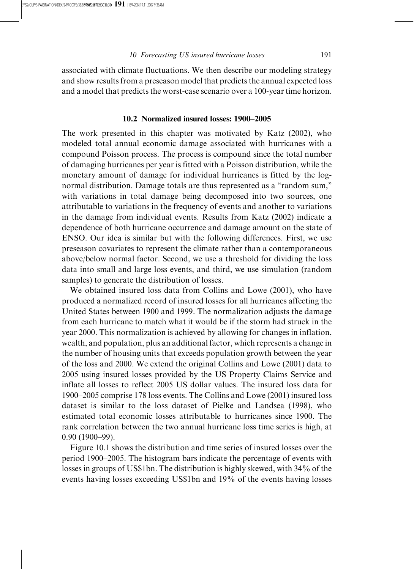associated with climate fluctuations. We then describe our modeling strategy and show results from a preseason model that predicts the annual expected loss and a model that predicts the worst-case scenario over a 100-year time horizon.

# 10.2 Normalized insured losses: 1900–2005

The work presented in this chapter was motivated by Katz (2002), who modeled total annual economic damage associated with hurricanes with a compound Poisson process. The process is compound since the total number of damaging hurricanes per year is fitted with a Poisson distribution, while the monetary amount of damage for individual hurricanes is fitted by the lognormal distribution. Damage totals are thus represented as a ''random sum,'' with variations in total damage being decomposed into two sources, one attributable to variations in the frequency of events and another to variations in the damage from individual events. Results from Katz (2002) indicate a dependence of both hurricane occurrence and damage amount on the state of ENSO. Our idea is similar but with the following differences. First, we use preseason covariates to represent the climate rather than a contemporaneous above/below normal factor. Second, we use a threshold for dividing the loss data into small and large loss events, and third, we use simulation (random samples) to generate the distribution of losses.

We obtained insured loss data from Collins and Lowe (2001), who have produced a normalized record of insured losses for all hurricanes affecting the United States between 1900 and 1999. The normalization adjusts the damage from each hurricane to match what it would be if the storm had struck in the year 2000. This normalization is achieved by allowing for changes in inflation, wealth, and population, plus an additional factor, which represents a change in the number of housing units that exceeds population growth between the year of the loss and 2000. We extend the original Collins and Lowe (2001) data to 2005 using insured losses provided by the US Property Claims Service and inflate all losses to reflect 2005 US dollar values. The insured loss data for 1900–2005 comprise 178 loss events. The Collins and Lowe (2001) insured loss dataset is similar to the loss dataset of Pielke and Landsea (1998), who estimated total economic losses attributable to hurricanes since 1900. The rank correlation between the two annual hurricane loss time series is high, at 0.90 (1900–99).

Figure 10.1 shows the distribution and time series of insured losses over the period 1900–2005. The histogram bars indicate the percentage of events with losses in groups of US\$1bn. The distribution is highly skewed, with 34% of the events having losses exceeding US\$1bn and 19% of the events having losses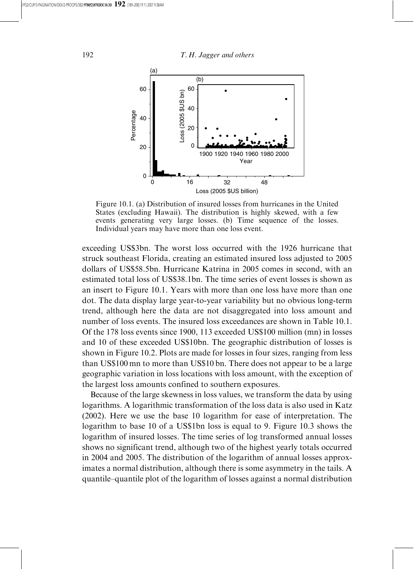



Figure 10.1. (a) Distribution of insured losses from hurricanes in the United States (excluding Hawaii). The distribution is highly skewed, with a few events generating very large losses. (b) Time sequence of the losses. Individual years may have more than one loss event.

exceeding US\$3bn. The worst loss occurred with the 1926 hurricane that struck southeast Florida, creating an estimated insured loss adjusted to 2005 dollars of US\$58.5bn. Hurricane Katrina in 2005 comes in second, with an estimated total loss of US\$38.1bn. The time series of event losses is shown as an insert to Figure 10.1. Years with more than one loss have more than one dot. The data display large year-to-year variability but no obvious long-term trend, although here the data are not disaggregated into loss amount and number of loss events. The insured loss exceedances are shown in Table 10.1. Of the 178 loss events since 1900, 113 exceeded US\$100 million (mn) in losses and 10 of these exceeded US\$10bn. The geographic distribution of losses is shown in Figure 10.2. Plots are made for losses in four sizes, ranging from less than US\$100 mn to more than US\$10 bn. There does not appear to be a large geographic variation in loss locations with loss amount, with the exception of the largest loss amounts confined to southern exposures.

Because of the large skewness in loss values, we transform the data by using logarithms. A logarithmic transformation of the loss data is also used in Katz (2002). Here we use the base 10 logarithm for ease of interpretation. The logarithm to base 10 of a US\$1bn loss is equal to 9. Figure 10.3 shows the logarithm of insured losses. The time series of log transformed annual losses shows no significant trend, although two of the highest yearly totals occurred in 2004 and 2005. The distribution of the logarithm of annual losses approximates a normal distribution, although there is some asymmetry in the tails. A quantile–quantile plot of the logarithm of losses against a normal distribution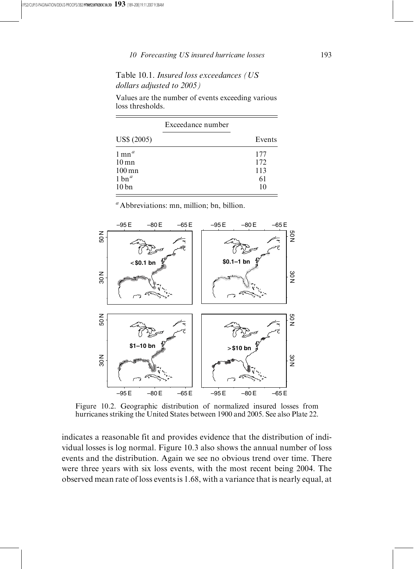# Table 10.1. Insured loss exceedances (US dollars adjusted to 2005)

Values are the number of events exceeding various loss thresholds.

|                                  | Exceedance number |        |
|----------------------------------|-------------------|--------|
| US\$ (2005)                      |                   | Events |
| $1$ mn <sup><math>a</math></sup> |                   | 177    |
| $10 \,\mathrm{mn}$               |                   | 172    |
| $100 \,\mathrm{mn}$              |                   | 113    |
| $1 \text{ bn}^a$                 |                   | 61     |
| 10bn                             |                   | 10     |

<sup>a</sup> Abbreviations: mn, million; bn, billion.



Figure 10.2. Geographic distribution of normalized insured losses from hurricanes striking the United States between 1900 and 2005. See also Plate 22.

indicates a reasonable fit and provides evidence that the distribution of individual losses is log normal. Figure 10.3 also shows the annual number of loss events and the distribution. Again we see no obvious trend over time. There were three years with six loss events, with the most recent being 2004. The observed mean rate of loss events is 1.68, with a variance that is nearly equal, at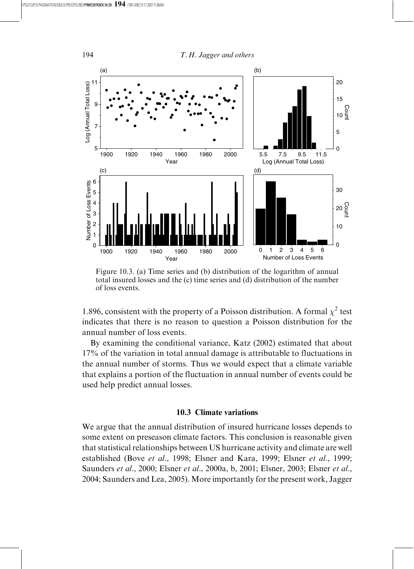

Figure 10.3. (a) Time series and (b) distribution of the logarithm of annual total insured losses and the (c) time series and (d) distribution of the number of loss events.

1.896, consistent with the property of a Poisson distribution. A formal  $\chi^2$  test indicates that there is no reason to question a Poisson distribution for the annual number of loss events.

By examining the conditional variance, Katz (2002) estimated that about 17% of the variation in total annual damage is attributable to fluctuations in the annual number of storms. Thus we would expect that a climate variable that explains a portion of the fluctuation in annual number of events could be used help predict annual losses.

# 10.3 Climate variations

We argue that the annual distribution of insured hurricane losses depends to some extent on preseason climate factors. This conclusion is reasonable given that statistical relationships between US hurricane activity and climate are well established (Bove et al., 1998; Elsner and Kara, 1999; Elsner et al., 1999; Saunders et al., 2000; Elsner et al., 2000a, b, 2001; Elsner, 2003; Elsner et al., 2004; Saunders and Lea, 2005). More importantly for the present work, Jagger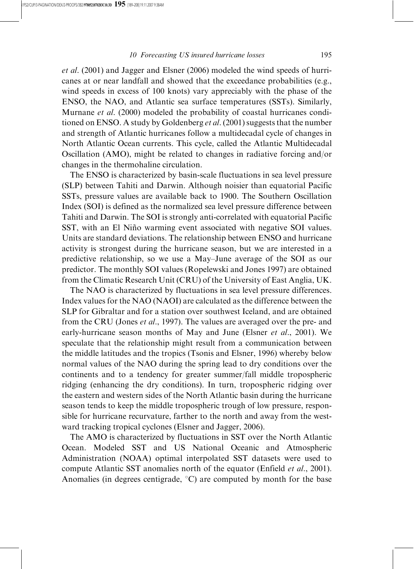et al. (2001) and Jagger and Elsner (2006) modeled the wind speeds of hurricanes at or near landfall and showed that the exceedance probabilities (e.g., wind speeds in excess of 100 knots) vary appreciably with the phase of the ENSO, the NAO, and Atlantic sea surface temperatures (SSTs). Similarly, Murnane et al. (2000) modeled the probability of coastal hurricanes conditioned on ENSO. A study by Goldenberg *et al.* (2001) suggests that the number and strength of Atlantic hurricanes follow a multidecadal cycle of changes in North Atlantic Ocean currents. This cycle, called the Atlantic Multidecadal Oscillation (AMO), might be related to changes in radiative forcing and/or changes in the thermohaline circulation.

The ENSO is characterized by basin-scale fluctuations in sea level pressure (SLP) between Tahiti and Darwin. Although noisier than equatorial Pacific SSTs, pressure values are available back to 1900. The Southern Oscillation Index (SOI) is defined as the normalized sea level pressure difference between Tahiti and Darwin. The SOI is strongly anti-correlated with equatorial Pacific SST, with an El Niño warming event associated with negative SOI values. Units are standard deviations. The relationship between ENSO and hurricane activity is strongest during the hurricane season, but we are interested in a predictive relationship, so we use a May–June average of the SOI as our predictor. The monthly SOI values (Ropelewski and Jones 1997) are obtained from the Climatic Research Unit (CRU) of the University of East Anglia, UK.

The NAO is characterized by fluctuations in sea level pressure differences. Index values for the NAO (NAOI) are calculated as the difference between the SLP for Gibraltar and for a station over southwest Iceland, and are obtained from the CRU (Jones et al., 1997). The values are averaged over the pre- and early-hurricane season months of May and June (Elsner et al., 2001). We speculate that the relationship might result from a communication between the middle latitudes and the tropics (Tsonis and Elsner, 1996) whereby below normal values of the NAO during the spring lead to dry conditions over the continents and to a tendency for greater summer/fall middle tropospheric ridging (enhancing the dry conditions). In turn, tropospheric ridging over the eastern and western sides of the North Atlantic basin during the hurricane season tends to keep the middle tropospheric trough of low pressure, responsible for hurricane recurvature, farther to the north and away from the westward tracking tropical cyclones (Elsner and Jagger, 2006).

The AMO is characterized by fluctuations in SST over the North Atlantic Ocean. Modeled SST and US National Oceanic and Atmospheric Administration (NOAA) optimal interpolated SST datasets were used to compute Atlantic SST anomalies north of the equator (Enfield et al., 2001). Anomalies (in degrees centigrade,  $\degree$ C) are computed by month for the base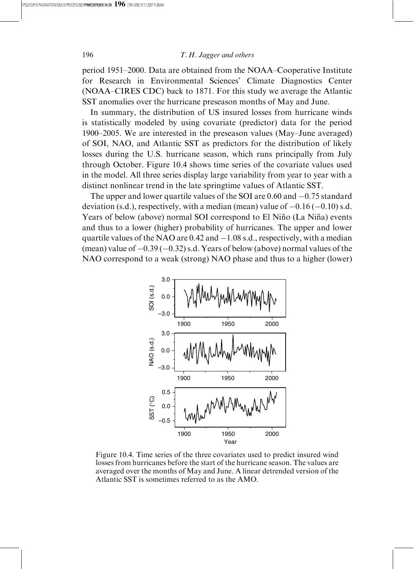period 1951–2000. Data are obtained from the NOAA–Cooperative Institute for Research in Environmental Sciences' Climate Diagnostics Center (NOAA–CIRES CDC) back to 1871. For this study we average the Atlantic SST anomalies over the hurricane preseason months of May and June.

In summary, the distribution of US insured losses from hurricane winds is statistically modeled by using covariate (predictor) data for the period 1900–2005. We are interested in the preseason values (May–June averaged) of SOI, NAO, and Atlantic SST as predictors for the distribution of likely losses during the U.S. hurricane season, which runs principally from July through October. Figure 10.4 shows time series of the covariate values used in the model. All three series display large variability from year to year with a distinct nonlinear trend in the late springtime values of Atlantic SST.

The upper and lower quartile values of the SOI are  $0.60$  and  $-0.75$  standard deviation (s.d.), respectively, with a median (mean) value of  $-0.16$  ( $-0.10$ ) s.d. Years of below (above) normal SOI correspond to El Niño (La Niña) events and thus to a lower (higher) probability of hurricanes. The upper and lower quartile values of the NAO are  $0.42$  and  $-1.08$  s.d., respectively, with a median (mean) value of  $-0.39$  ( $-0.32$ ) s.d. Years of below (above) normal values of the NAO correspond to a weak (strong) NAO phase and thus to a higher (lower)



Figure 10.4. Time series of the three covariates used to predict insured wind losses from hurricanes before the start of the hurricane season. The values are averaged over the months of May and June. A linear detrended version of the Atlantic SST is sometimes referred to as the AMO.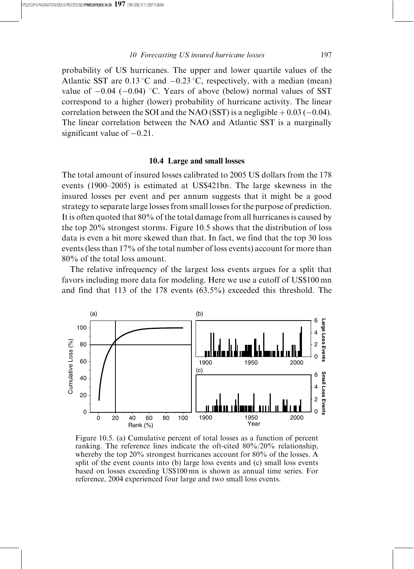probability of US hurricanes. The upper and lower quartile values of the Atlantic SST are  $0.13 \text{ °C}$  and  $-0.23 \text{ °C}$ , respectively, with a median (mean) value of  $-0.04$  ( $-0.04$ ) °C. Years of above (below) normal values of SST correspond to a higher (lower) probability of hurricane activity. The linear correlation between the SOI and the NAO (SST) is a negligible  $+0.03$  (-0.04). The linear correlation between the NAO and Atlantic SST is a marginally significant value of  $-0.21$ .

# 10.4 Large and small losses

The total amount of insured losses calibrated to 2005 US dollars from the 178 events (1900–2005) is estimated at US\$421bn. The large skewness in the insured losses per event and per annum suggests that it might be a good strategy to separate large losses from small losses for the purpose of prediction. It is often quoted that 80% of the total damage from all hurricanes is caused by the top 20% strongest storms. Figure 10.5 shows that the distribution of loss data is even a bit more skewed than that. In fact, we find that the top 30 loss events (less than 17% of the total number of loss events) account for more than 80% of the total loss amount.

The relative infrequency of the largest loss events argues for a split that favors including more data for modeling. Here we use a cutoff of US\$100 mn and find that 113 of the 178 events (63.5%) exceeded this threshold. The



Figure 10.5. (a) Cumulative percent of total losses as a function of percent ranking. The reference lines indicate the oft-cited 80%/20% relationship, whereby the top 20% strongest hurricanes account for 80% of the losses. A split of the event counts into (b) large loss events and (c) small loss events based on losses exceeding US\$100 mn is shown as annual time series. For reference, 2004 experienced four large and two small loss events.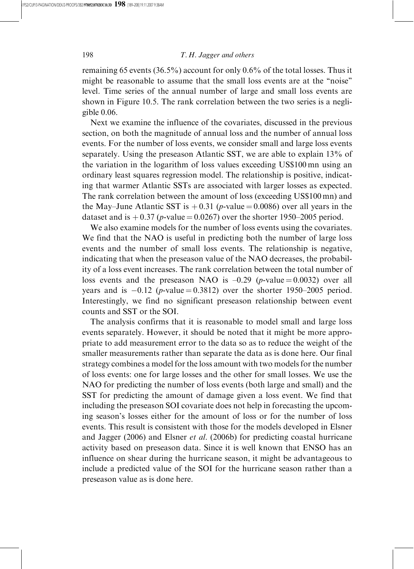remaining 65 events (36.5%) account for only 0.6% of the total losses. Thus it might be reasonable to assume that the small loss events are at the ''noise'' level. Time series of the annual number of large and small loss events are shown in Figure 10.5. The rank correlation between the two series is a negligible 0.06.

Next we examine the influence of the covariates, discussed in the previous section, on both the magnitude of annual loss and the number of annual loss events. For the number of loss events, we consider small and large loss events separately. Using the preseason Atlantic SST, we are able to explain 13% of the variation in the logarithm of loss values exceeding US\$100 mn using an ordinary least squares regression model. The relationship is positive, indicating that warmer Atlantic SSTs are associated with larger losses as expected. The rank correlation between the amount of loss (exceeding US\$100 mn) and the May–June Atlantic SST is  $+0.31$  (p-value  $= 0.0086$ ) over all years in the dataset and is  $+0.37$  (p-value = 0.0267) over the shorter 1950–2005 period.

We also examine models for the number of loss events using the covariates. We find that the NAO is useful in predicting both the number of large loss events and the number of small loss events. The relationship is negative, indicating that when the preseason value of the NAO decreases, the probability of a loss event increases. The rank correlation between the total number of loss events and the preseason NAO is  $-0.29$  (*p*-value  $= 0.0032$ ) over all years and is  $-0.12$  (p-value  $= 0.3812$ ) over the shorter 1950–2005 period. Interestingly, we find no significant preseason relationship between event counts and SST or the SOI.

The analysis confirms that it is reasonable to model small and large loss events separately. However, it should be noted that it might be more appropriate to add measurement error to the data so as to reduce the weight of the smaller measurements rather than separate the data as is done here. Our final strategy combines a model for the loss amount with two models for the number of loss events: one for large losses and the other for small losses. We use the NAO for predicting the number of loss events (both large and small) and the SST for predicting the amount of damage given a loss event. We find that including the preseason SOI covariate does not help in forecasting the upcoming season's losses either for the amount of loss or for the number of loss events. This result is consistent with those for the models developed in Elsner and Jagger (2006) and Elsner et al. (2006b) for predicting coastal hurricane activity based on preseason data. Since it is well known that ENSO has an influence on shear during the hurricane season, it might be advantageous to include a predicted value of the SOI for the hurricane season rather than a preseason value as is done here.

/FS2/CUP/3-PAGINATION/DEX/2-PROOFS/3B2/**9780521870283C10.3D**  $\,198\,$  [189–208] 19.11.2007 9:38AM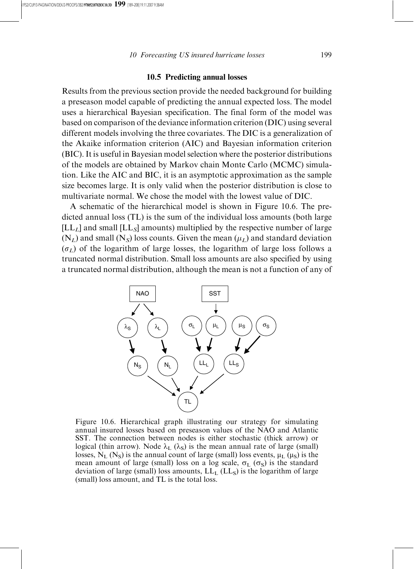# 10.5 Predicting annual losses

Results from the previous section provide the needed background for building a preseason model capable of predicting the annual expected loss. The model uses a hierarchical Bayesian specification. The final form of the model was based on comparison of the deviance information criterion (DIC) using several different models involving the three covariates. The DIC is a generalization of the Akaike information criterion (AIC) and Bayesian information criterion (BIC). It is useful in Bayesian model selection where the posterior distributions of the models are obtained by Markov chain Monte Carlo (MCMC) simulation. Like the AIC and BIC, it is an asymptotic approximation as the sample size becomes large. It is only valid when the posterior distribution is close to multivariate normal. We chose the model with the lowest value of DIC.

A schematic of the hierarchical model is shown in Figure 10.6. The predicted annual loss (TL) is the sum of the individual loss amounts (both large  $[LL<sub>I</sub>]$  and small  $[LL<sub>S</sub>]$  amounts) multiplied by the respective number of large  $(N_L)$  and small  $(N_S)$  loss counts. Given the mean  $(\mu_L)$  and standard deviation  $(\sigma_L)$  of the logarithm of large losses, the logarithm of large loss follows a truncated normal distribution. Small loss amounts are also specified by using a truncated normal distribution, although the mean is not a function of any of



Figure 10.6. Hierarchical graph illustrating our strategy for simulating annual insured losses based on preseason values of the NAO and Atlantic SST. The connection between nodes is either stochastic (thick arrow) or logical (thin arrow). Node  $\lambda_L$  ( $\lambda_S$ ) is the mean annual rate of large (small) losses,  $N_L$  (N<sub>S</sub>) is the annual count of large (small) loss events,  $\mu_L$  ( $\mu_S$ ) is the mean amount of large (small) loss on a log scale,  $\sigma_L$  ( $\sigma_S$ ) is the standard deviation of large (small) loss amounts,  $LL_L$  ( $LL_S$ ) is the logarithm of large (small) loss amount, and TL is the total loss.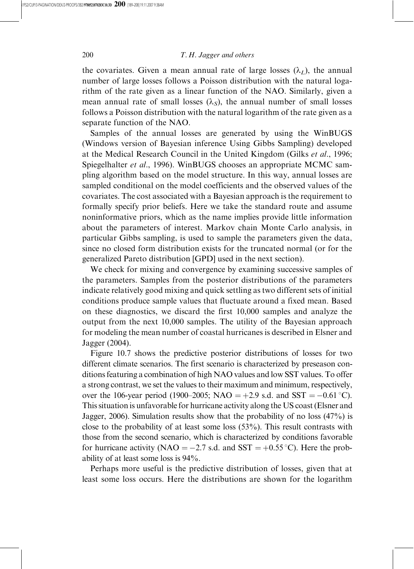the covariates. Given a mean annual rate of large losses  $(\lambda_L)$ , the annual number of large losses follows a Poisson distribution with the natural logarithm of the rate given as a linear function of the NAO. Similarly, given a mean annual rate of small losses  $(\lambda_S)$ , the annual number of small losses follows a Poisson distribution with the natural logarithm of the rate given as a separate function of the NAO.

Samples of the annual losses are generated by using the WinBUGS (Windows version of Bayesian inference Using Gibbs Sampling) developed at the Medical Research Council in the United Kingdom (Gilks et al., 1996; Spiegelhalter et al., 1996). WinBUGS chooses an appropriate MCMC sampling algorithm based on the model structure. In this way, annual losses are sampled conditional on the model coefficients and the observed values of the covariates. The cost associated with a Bayesian approach is the requirement to formally specify prior beliefs. Here we take the standard route and assume noninformative priors, which as the name implies provide little information about the parameters of interest. Markov chain Monte Carlo analysis, in particular Gibbs sampling, is used to sample the parameters given the data, since no closed form distribution exists for the truncated normal (or for the generalized Pareto distribution [GPD] used in the next section).

We check for mixing and convergence by examining successive samples of the parameters. Samples from the posterior distributions of the parameters indicate relatively good mixing and quick settling as two different sets of initial conditions produce sample values that fluctuate around a fixed mean. Based on these diagnostics, we discard the first 10,000 samples and analyze the output from the next 10,000 samples. The utility of the Bayesian approach for modeling the mean number of coastal hurricanes is described in Elsner and Jagger (2004).

Figure 10.7 shows the predictive posterior distributions of losses for two different climate scenarios. The first scenario is characterized by preseason conditions featuring a combination of high NAO values and low SST values. To offer a strong contrast, we set the values to their maximum and minimum, respectively, over the 106-year period (1900–2005; NAO = +2.9 s.d. and SST =  $-0.61^{\circ}$ C). This situation is unfavorable for hurricane activity along the US coast (Elsner and Jagger, 2006). Simulation results show that the probability of no loss  $(47%)$  is close to the probability of at least some loss (53%). This result contrasts with those from the second scenario, which is characterized by conditions favorable for hurricane activity (NAO = -2.7 s.d. and SST = +0.55 °C). Here the probability of at least some loss is 94%.

Perhaps more useful is the predictive distribution of losses, given that at least some loss occurs. Here the distributions are shown for the logarithm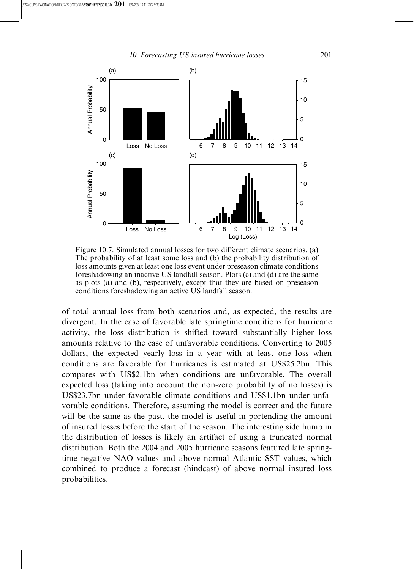



Figure 10.7. Simulated annual losses for two different climate scenarios. (a) The probability of at least some loss and (b) the probability distribution of loss amounts given at least one loss event under preseason climate conditions foreshadowing an inactive US landfall season. Plots (c) and (d) are the same as plots (a) and (b), respectively, except that they are based on preseason conditions foreshadowing an active US landfall season.

of total annual loss from both scenarios and, as expected, the results are divergent. In the case of favorable late springtime conditions for hurricane activity, the loss distribution is shifted toward substantially higher loss amounts relative to the case of unfavorable conditions. Converting to 2005 dollars, the expected yearly loss in a year with at least one loss when conditions are favorable for hurricanes is estimated at US\$25.2bn. This compares with US\$2.1bn when conditions are unfavorable. The overall expected loss (taking into account the non-zero probability of no losses) is US\$23.7bn under favorable climate conditions and US\$1.1bn under unfavorable conditions. Therefore, assuming the model is correct and the future will be the same as the past, the model is useful in portending the amount of insured losses before the start of the season. The interesting side hump in the distribution of losses is likely an artifact of using a truncated normal distribution. Both the 2004 and 2005 hurricane seasons featured late springtime negative NAO values and above normal Atlantic SST values, which combined to produce a forecast (hindcast) of above normal insured loss probabilities.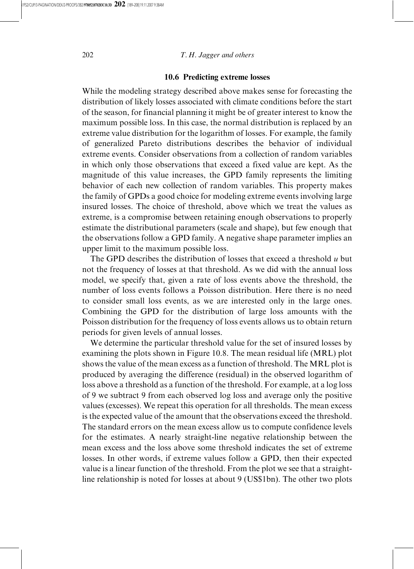# 10.6 Predicting extreme losses

While the modeling strategy described above makes sense for forecasting the distribution of likely losses associated with climate conditions before the start of the season, for financial planning it might be of greater interest to know the maximum possible loss. In this case, the normal distribution is replaced by an extreme value distribution for the logarithm of losses. For example, the family of generalized Pareto distributions describes the behavior of individual extreme events. Consider observations from a collection of random variables in which only those observations that exceed a fixed value are kept. As the magnitude of this value increases, the GPD family represents the limiting behavior of each new collection of random variables. This property makes the family of GPDs a good choice for modeling extreme events involving large insured losses. The choice of threshold, above which we treat the values as extreme, is a compromise between retaining enough observations to properly estimate the distributional parameters (scale and shape), but few enough that the observations follow a GPD family. A negative shape parameter implies an upper limit to the maximum possible loss.

The GPD describes the distribution of losses that exceed a threshold  $u$  but not the frequency of losses at that threshold. As we did with the annual loss model, we specify that, given a rate of loss events above the threshold, the number of loss events follows a Poisson distribution. Here there is no need to consider small loss events, as we are interested only in the large ones. Combining the GPD for the distribution of large loss amounts with the Poisson distribution for the frequency of loss events allows us to obtain return periods for given levels of annual losses.

We determine the particular threshold value for the set of insured losses by examining the plots shown in Figure 10.8. The mean residual life (MRL) plot shows the value of the mean excess as a function of threshold. The MRL plot is produced by averaging the difference (residual) in the observed logarithm of loss above a threshold as a function of the threshold. For example, at a log loss of 9 we subtract 9 from each observed log loss and average only the positive values (excesses). We repeat this operation for all thresholds. The mean excess is the expected value of the amount that the observations exceed the threshold. The standard errors on the mean excess allow us to compute confidence levels for the estimates. A nearly straight-line negative relationship between the mean excess and the loss above some threshold indicates the set of extreme losses. In other words, if extreme values follow a GPD, then their expected value is a linear function of the threshold. From the plot we see that a straightline relationship is noted for losses at about 9 (US\$1bn). The other two plots

/FS2/CUP/3-PAGINATION/DEX/2-PROOFS/3B2/**9780521870283C10.3D**  $\,202\,$  [189–208] 19.11.2007 9:38AM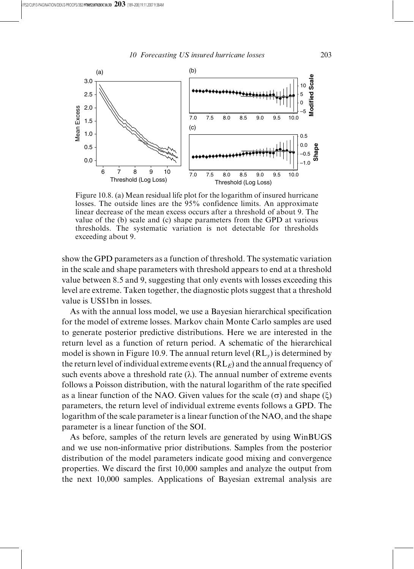



Figure 10.8. (a) Mean residual life plot for the logarithm of insured hurricane losses. The outside lines are the 95% confidence limits. An approximate linear decrease of the mean excess occurs after a threshold of about 9. The value of the (b) scale and (c) shape parameters from the GPD at various thresholds. The systematic variation is not detectable for thresholds exceeding about 9.

show the GPD parameters as a function of threshold. The systematic variation in the scale and shape parameters with threshold appears to end at a threshold value between 8.5 and 9, suggesting that only events with losses exceeding this level are extreme. Taken together, the diagnostic plots suggest that a threshold value is US\$1bn in losses.

As with the annual loss model, we use a Bayesian hierarchical specification for the model of extreme losses. Markov chain Monte Carlo samples are used to generate posterior predictive distributions. Here we are interested in the return level as a function of return period. A schematic of the hierarchical model is shown in Figure 10.9. The annual return level  $(RL<sub>v</sub>)$  is determined by the return level of individual extreme events  $(RL<sub>F</sub>)$  and the annual frequency of such events above a threshold rate  $(\lambda)$ . The annual number of extreme events follows a Poisson distribution, with the natural logarithm of the rate specified as a linear function of the NAO. Given values for the scale  $(\sigma)$  and shape  $(\xi)$ parameters, the return level of individual extreme events follows a GPD. The logarithm of the scale parameter is a linear function of the NAO, and the shape parameter is a linear function of the SOI.

As before, samples of the return levels are generated by using WinBUGS and we use non-informative prior distributions. Samples from the posterior distribution of the model parameters indicate good mixing and convergence properties. We discard the first 10,000 samples and analyze the output from the next 10,000 samples. Applications of Bayesian extremal analysis are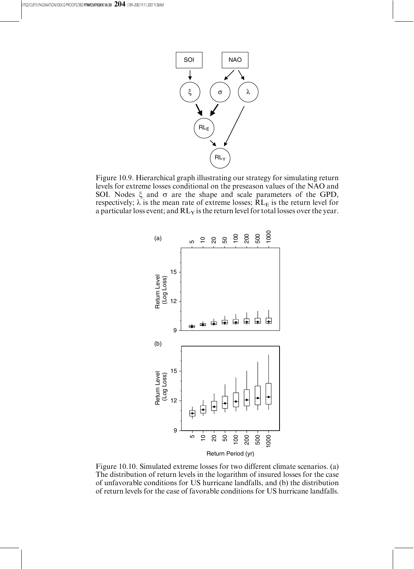

Figure 10.9. Hierarchical graph illustrating our strategy for simulating return levels for extreme losses conditional on the preseason values of the NAO and SOI. Nodes  $\xi$  and  $\sigma$  are the shape and scale parameters of the GPD, respectively;  $\lambda$  is the mean rate of extreme losses;  $RL<sub>E</sub>$  is the return level for a particular loss event; and  $RL<sub>Y</sub>$  is the return level for total losses over the year.



Figure 10.10. Simulated extreme losses for two different climate scenarios. (a) The distribution of return levels in the logarithm of insured losses for the case of unfavorable conditions for US hurricane landfalls, and (b) the distribution of return levels for the case of favorable conditions for US hurricane landfalls.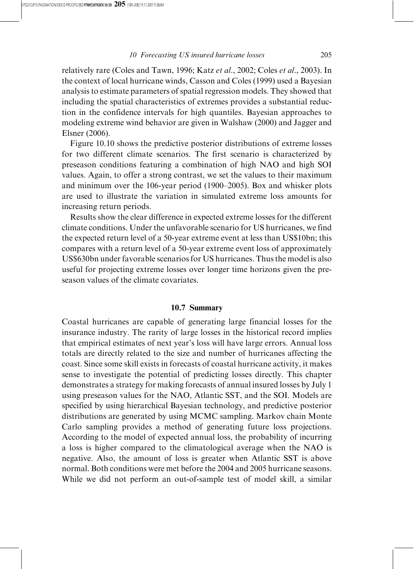relatively rare (Coles and Tawn, 1996; Katz et al., 2002; Coles et al., 2003). In the context of local hurricane winds, Casson and Coles (1999) used a Bayesian analysis to estimate parameters of spatial regression models. They showed that including the spatial characteristics of extremes provides a substantial reduction in the confidence intervals for high quantiles. Bayesian approaches to modeling extreme wind behavior are given in Walshaw (2000) and Jagger and Elsner (2006).

Figure 10.10 shows the predictive posterior distributions of extreme losses for two different climate scenarios. The first scenario is characterized by preseason conditions featuring a combination of high NAO and high SOI values. Again, to offer a strong contrast, we set the values to their maximum and minimum over the 106-year period (1900–2005). Box and whisker plots are used to illustrate the variation in simulated extreme loss amounts for increasing return periods.

Results show the clear difference in expected extreme losses for the different climate conditions. Under the unfavorable scenario for US hurricanes, we find the expected return level of a 50-year extreme event at less than US\$10bn; this compares with a return level of a 50-year extreme event loss of approximately US\$630bn under favorable scenarios for US hurricanes. Thus the model is also useful for projecting extreme losses over longer time horizons given the preseason values of the climate covariates.

# 10.7 Summary

Coastal hurricanes are capable of generating large financial losses for the insurance industry. The rarity of large losses in the historical record implies that empirical estimates of next year's loss will have large errors. Annual loss totals are directly related to the size and number of hurricanes affecting the coast. Since some skill exists in forecasts of coastal hurricane activity, it makes sense to investigate the potential of predicting losses directly. This chapter demonstrates a strategy for making forecasts of annual insured losses by July 1 using preseason values for the NAO, Atlantic SST, and the SOI. Models are specified by using hierarchical Bayesian technology, and predictive posterior distributions are generated by using MCMC sampling. Markov chain Monte Carlo sampling provides a method of generating future loss projections. According to the model of expected annual loss, the probability of incurring a loss is higher compared to the climatological average when the NAO is negative. Also, the amount of loss is greater when Atlantic SST is above normal. Both conditions were met before the 2004 and 2005 hurricane seasons. While we did not perform an out-of-sample test of model skill, a similar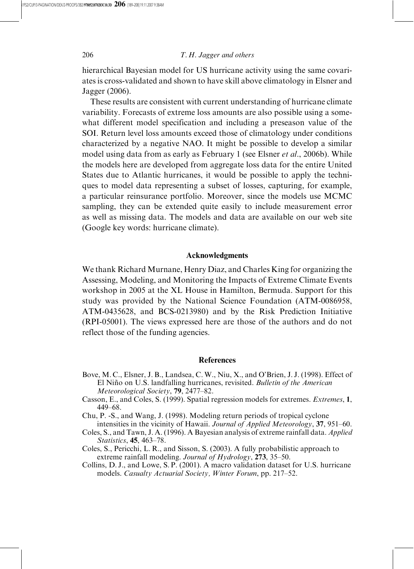hierarchical Bayesian model for US hurricane activity using the same covariates is cross-validated and shown to have skill above climatology in Elsner and Jagger (2006).

These results are consistent with current understanding of hurricane climate variability. Forecasts of extreme loss amounts are also possible using a somewhat different model specification and including a preseason value of the SOI. Return level loss amounts exceed those of climatology under conditions characterized by a negative NAO. It might be possible to develop a similar model using data from as early as February 1 (see Elsner et al., 2006b). While the models here are developed from aggregate loss data for the entire United States due to Atlantic hurricanes, it would be possible to apply the techniques to model data representing a subset of losses, capturing, for example, a particular reinsurance portfolio. Moreover, since the models use MCMC sampling, they can be extended quite easily to include measurement error as well as missing data. The models and data are available on our web site (Google key words: hurricane climate).

# Acknowledgments

We thank Richard Murnane, Henry Diaz, and Charles King for organizing the Assessing, Modeling, and Monitoring the Impacts of Extreme Climate Events workshop in 2005 at the XL House in Hamilton, Bermuda. Support for this study was provided by the National Science Foundation (ATM-0086958, ATM-0435628, and BCS-0213980) and by the Risk Prediction Initiative (RPI-05001). The views expressed here are those of the authors and do not reflect those of the funding agencies.

#### References

- Bove, M. C., Elsner, J. B., Landsea, C. W., Niu, X., and O'Brien, J. J. (1998). Effect of El Niño on U.S. landfalling hurricanes, revisited. Bulletin of the American Meteorological Society, 79, 2477–82.
- Casson, E., and Coles, S. (1999). Spatial regression models for extremes. Extremes, 1, 449–68.
- Chu, P. -S., and Wang, J. (1998). Modeling return periods of tropical cyclone intensities in the vicinity of Hawaii. Journal of Applied Meteorology, 37, 951–60.
- Coles, S., and Tawn, J. A. (1996). A Bayesian analysis of extreme rainfall data. Applied Statistics, 45, 463–78.
- Coles, S., Pericchi, L. R., and Sisson, S. (2003). A fully probabilistic approach to extreme rainfall modeling. Journal of Hydrology, 273, 35–50.
- Collins, D. J., and Lowe, S. P. (2001). A macro validation dataset for U.S. hurricane models. Casualty Actuarial Society, Winter Forum, pp. 217–52.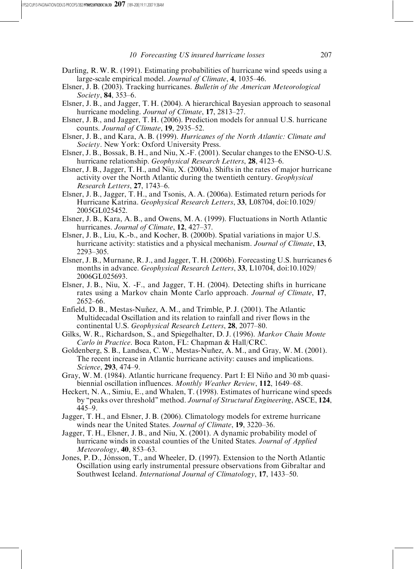- Darling, R. W. R. (1991). Estimating probabilities of hurricane wind speeds using a large-scale empirical model. Journal of Climate, 4, 1035–46.
- Elsner, J. B. (2003). Tracking hurricanes. Bulletin of the American Meteorological Society, 84, 353–6.
- Elsner, J. B., and Jagger, T. H. (2004). A hierarchical Bayesian approach to seasonal hurricane modeling. Journal of Climate, 17, 2813–27.
- Elsner, J. B., and Jagger, T. H. (2006). Prediction models for annual U.S. hurricane counts. Journal of Climate, 19, 2935–52.
- Elsner, J. B., and Kara, A. B. (1999). Hurricanes of the North Atlantic: Climate and Society. New York: Oxford University Press.
- Elsner, J. B., Bossak, B. H., and Niu, X.-F. (2001). Secular changes to the ENSO-U.S. hurricane relationship. Geophysical Research Letters, 28, 4123–6.
- Elsner, J. B., Jagger, T. H., and Niu, X. (2000a). Shifts in the rates of major hurricane activity over the North Atlantic during the twentieth century. Geophysical Research Letters, 27, 1743–6.
- Elsner, J. B., Jagger, T. H., and Tsonis, A. A. (2006a). Estimated return periods for Hurricane Katrina. Geophysical Research Letters, 33, L08704, doi:10.1029/ 2005GL025452.
- Elsner, J. B., Kara, A. B., and Owens, M. A. (1999). Fluctuations in North Atlantic hurricanes. Journal of Climate, 12, 427–37.
- Elsner, J. B., Liu, K.-b., and Kocher, B. (2000b). Spatial variations in major U.S. hurricane activity: statistics and a physical mechanism. Journal of Climate, 13, 2293–305.
- Elsner, J. B., Murnane, R. J., and Jagger, T. H. (2006b). Forecasting U.S. hurricanes 6 months in advance. Geophysical Research Letters, 33, L10704, doi:10.1029/ 2006GL025693.
- Elsner, J. B., Niu, X. -F., and Jagger, T. H. (2004). Detecting shifts in hurricane rates using a Markov chain Monte Carlo approach. Journal of Climate, 17, 2652–66.
- Enfield, D. B., Mestas-Nuñez, A. M., and Trimble, P. J. (2001). The Atlantic Multidecadal Oscillation and its relation to rainfall and river flows in the continental U.S. Geophysical Research Letters, 28, 2077–80.
- Gilks, W. R., Richardson, S., and Spiegelhalter, D. J. (1996). Markov Chain Monte Carlo in Practice. Boca Raton, FL: Chapman & Hall/CRC.
- Goldenberg, S. B., Landsea, C. W., Mestas-Nuñez, A. M., and Gray, W. M. (2001). The recent increase in Atlantic hurricane activity: causes and implications. Science, 293, 474–9.
- Gray, W. M. (1984). Atlantic hurricane frequency. Part I: El Niño and 30 mb quasibiennial oscillation influences. Monthly Weather Review, 112, 1649–68.
- Heckert, N. A., Simiu, E., and Whalen, T. (1998). Estimates of hurricane wind speeds by "peaks over threshold" method. Journal of Structural Engineering, ASCE, 124, 445–9.
- Jagger, T. H., and Elsner, J. B. (2006). Climatology models for extreme hurricane winds near the United States. Journal of Climate, 19, 3220–36.
- Jagger, T. H., Elsner, J. B., and Niu, X. (2001). A dynamic probability model of hurricane winds in coastal counties of the United States. Journal of Applied Meteorology, 40, 853–63.
- Jones, P. D., Jónsson, T., and Wheeler, D. (1997). Extension to the North Atlantic Oscillation using early instrumental pressure observations from Gibraltar and Southwest Iceland. International Journal of Climatology, 17, 1433–50.